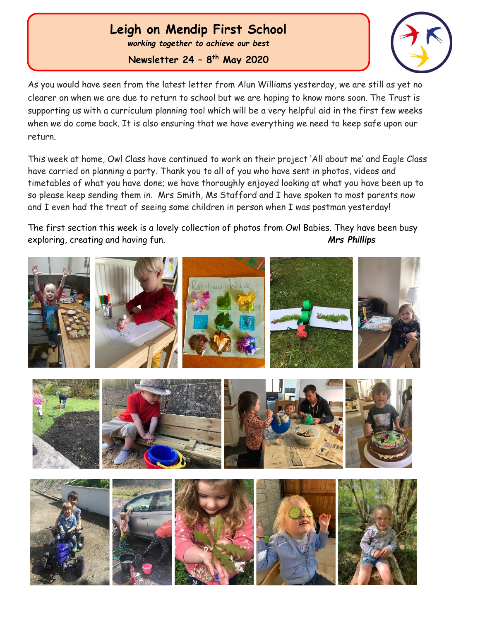## **Leigh on Mendip First School**

*working together to achieve our best*

**Newsletter 24 – 8 th May 2020**

 Ĩ



As you would have seen from the latest letter from Alun Williams yesterday, we are still as yet no clearer on when we are due to return to school but we are hoping to know more soon. The Trust is supporting us with a curriculum planning tool which will be a very helpful aid in the first few weeks when we do come back. It is also ensuring that we have everything we need to keep safe upon our return.

This week at home, Owl Class have continued to work on their project 'All about me' and Eagle Class have carried on planning a party. Thank you to all of you who have sent in photos, videos and timetables of what you have done; we have thoroughly enjoyed looking at what you have been up to so please keep sending them in. Mrs Smith, Ms Stafford and I have spoken to most parents now and I even had the treat of seeing some children in person when I was postman yesterday!

The first section this week is a lovely collection of photos from Owl Babies. They have been busy exploring, creating and having fun. *Mrs Phillips*